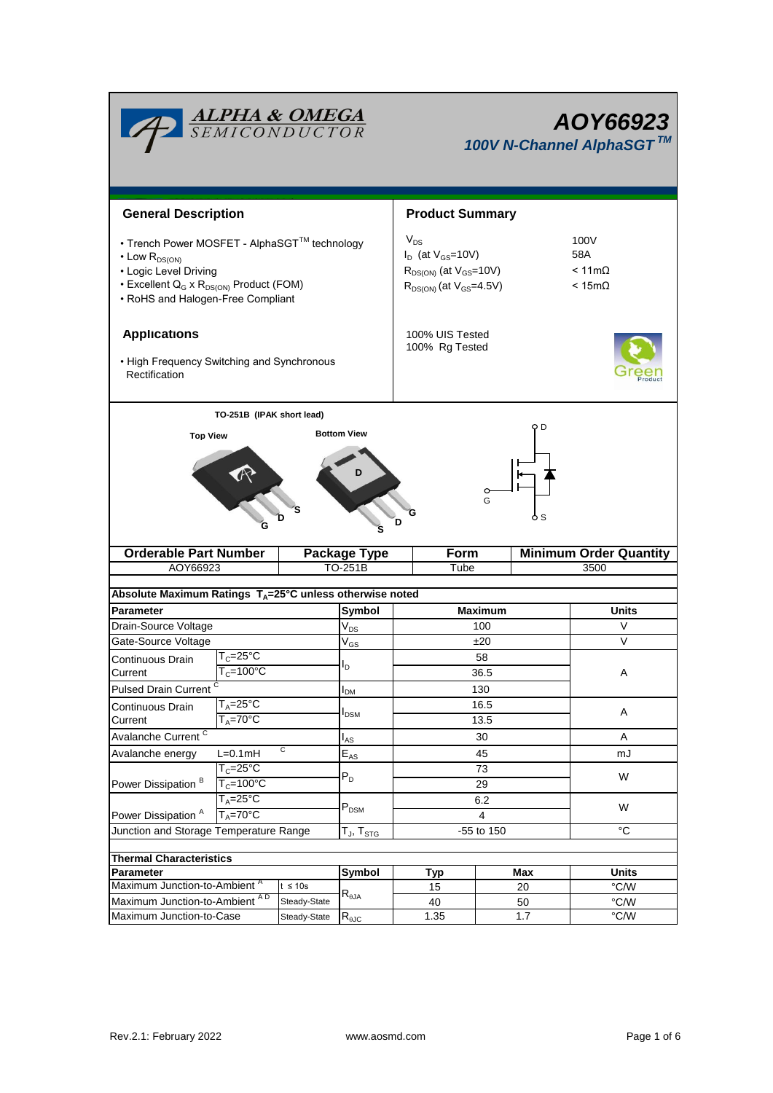|                                                                                                                                                                                                          | <u>ALPHA &amp; OMEGA</u><br>SEMICONDUCTOR             | AOY66923<br>100V N-Channel AlphaSGT™                                                                        |                                                       |                        |           |                               |               |  |
|----------------------------------------------------------------------------------------------------------------------------------------------------------------------------------------------------------|-------------------------------------------------------|-------------------------------------------------------------------------------------------------------------|-------------------------------------------------------|------------------------|-----------|-------------------------------|---------------|--|
| <b>General Description</b>                                                                                                                                                                               |                                                       |                                                                                                             |                                                       |                        |           |                               |               |  |
|                                                                                                                                                                                                          |                                                       |                                                                                                             |                                                       | <b>Product Summary</b> |           |                               |               |  |
| • Trench Power MOSFET - AlphaSGT™ technology<br>$\cdot$ Low $R_{DS(ON)}$<br>• Logic Level Driving<br>• Excellent Q <sub>G</sub> x R <sub>DS(ON)</sub> Product (FOM)<br>• RoHS and Halogen-Free Compliant |                                                       | $V_{DS}$<br>$I_D$ (at $V_{GS}$ =10V)<br>$R_{DS(ON)}$ (at $V_{GS}$ =10V)<br>$R_{DS(ON)}$ (at $V_{GS}$ =4.5V) | 100V<br>58A<br>$< 11 \text{m}\Omega$<br>$< 15m\Omega$ |                        |           |                               |               |  |
| <b>Applications</b><br>• High Frequency Switching and Synchronous<br>Rectification                                                                                                                       |                                                       | 100% UIS Tested<br>100% Rg Tested                                                                           |                                                       |                        |           |                               |               |  |
|                                                                                                                                                                                                          |                                                       |                                                                                                             |                                                       |                        |           |                               |               |  |
|                                                                                                                                                                                                          | TO-251B (IPAK short lead)                             |                                                                                                             | <b>Bottom View</b>                                    |                        |           | оD                            |               |  |
|                                                                                                                                                                                                          |                                                       |                                                                                                             |                                                       | D                      | G         | ò S                           |               |  |
| <b>Orderable Part Number</b>                                                                                                                                                                             |                                                       |                                                                                                             | <b>Package Type</b><br>TO-251B                        | <b>Form</b><br>Tube    |           | <b>Minimum Order Quantity</b> |               |  |
| AOY66923                                                                                                                                                                                                 |                                                       |                                                                                                             |                                                       |                        | 3500      |                               |               |  |
| Absolute Maximum Ratings T <sub>A</sub> =25°C unless otherwise noted                                                                                                                                     |                                                       |                                                                                                             |                                                       |                        |           |                               |               |  |
| <b>Parameter</b>                                                                                                                                                                                         |                                                       |                                                                                                             |                                                       | <b>Maximum</b>         |           |                               | Units         |  |
| Drain-Source Voltage                                                                                                                                                                                     |                                                       |                                                                                                             | $V_{DS}$                                              | 100                    |           |                               | V             |  |
| Gate-Source Voltage                                                                                                                                                                                      |                                                       |                                                                                                             | $\rm V_{GS}$                                          | ±20                    |           |                               | V             |  |
| Continuous Drain                                                                                                                                                                                         | $\mathsf{T}_{\mathsf{C}}\texttt{=}25^\circ\mathsf{C}$ | l <sub>D</sub>                                                                                              |                                                       |                        | 58        |                               |               |  |
| $T_c = 100$ °C<br>Current                                                                                                                                                                                |                                                       |                                                                                                             |                                                       | 36.5                   |           |                               | A             |  |
| Pulsed Drain Current <sup>C</sup>                                                                                                                                                                        |                                                       |                                                                                                             | <b>I</b> <sub>DM</sub>                                | 130                    |           |                               |               |  |
| Continuous Drain                                                                                                                                                                                         | $T_A = 25$ °C<br>$T_A = 70^\circ C$                   |                                                                                                             | $I_{DSM}$                                             | 16.5                   |           |                               | Α             |  |
|                                                                                                                                                                                                          | Current                                               |                                                                                                             |                                                       | 13.5                   |           |                               |               |  |
| Avalanche Current <sup>C</sup>                                                                                                                                                                           |                                                       | $\overline{c}$                                                                                              | $I_{AS}$                                              | 30                     |           |                               | Α             |  |
| Avalanche energy                                                                                                                                                                                         | $L=0.1mH$<br>$T_c = 25^\circ C$                       |                                                                                                             | $\mathsf{E}_{\mathsf{AS}}$                            | 45<br>73               |           |                               | mJ<br>W       |  |
| Power Dissipation <sup>B</sup>                                                                                                                                                                           | $T_c = 100^{\circ}C$                                  |                                                                                                             | $P_D$                                                 | 29                     |           |                               |               |  |
|                                                                                                                                                                                                          | $T_A = 25^\circ C$                                    |                                                                                                             |                                                       | 6.2                    |           |                               |               |  |
| Power Dissipation <sup>A</sup><br>$T_A = 70^\circ C$                                                                                                                                                     |                                                       | $P_{DSM}$                                                                                                   | 4                                                     |                        |           | W                             |               |  |
| Junction and Storage Temperature Range                                                                                                                                                                   |                                                       |                                                                                                             | $T_J$ , $T_{STG}$                                     | -55 to 150             |           |                               | °C            |  |
|                                                                                                                                                                                                          |                                                       |                                                                                                             |                                                       |                        |           |                               |               |  |
| <b>Thermal Characteristics</b>                                                                                                                                                                           |                                                       |                                                                                                             |                                                       |                        |           |                               | <b>Units</b>  |  |
| <b>Parameter</b><br>Maximum Junction-to-Ambient <sup>A</sup><br>$t \leq 10s$                                                                                                                             |                                                       | Symbol                                                                                                      | <b>Typ</b><br>15                                      |                        | Max<br>20 | °C/W                          |               |  |
| Maximum Junction-to-Ambient AD                                                                                                                                                                           |                                                       | Steady-State                                                                                                | $R_{\theta$ JA                                        | 40                     |           | 50                            | °C/W          |  |
| Maximum Junction-to-Case                                                                                                                                                                                 |                                                       | Steady-State                                                                                                | $R_{\theta$ JC                                        | 1.35                   |           | 1.7                           | $\degree$ C/W |  |

٦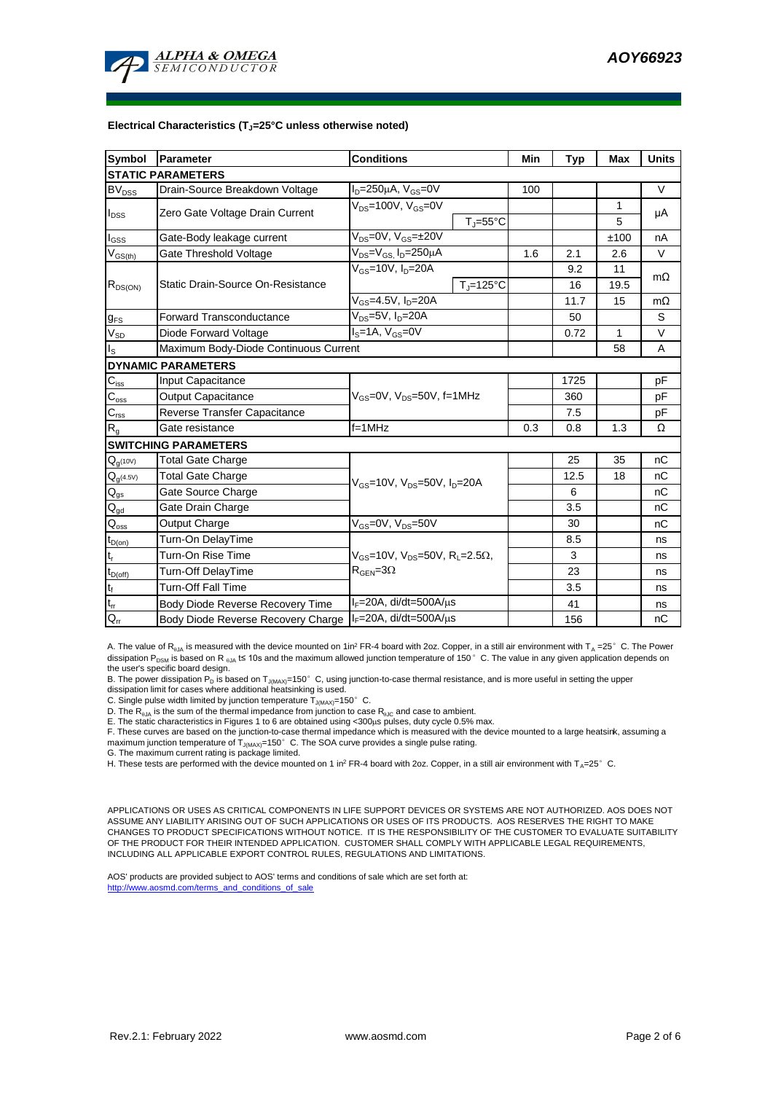

#### **Electrical Characteristics (TJ=25°C unless otherwise noted)**

| <b>Symbol</b>               | <b>Conditions</b><br>Parameter                                      |                                                                                            |                | Min | <b>Typ</b> | <b>Max</b>   | <b>Units</b> |  |  |  |  |  |
|-----------------------------|---------------------------------------------------------------------|--------------------------------------------------------------------------------------------|----------------|-----|------------|--------------|--------------|--|--|--|--|--|
| <b>STATIC PARAMETERS</b>    |                                                                     |                                                                                            |                |     |            |              |              |  |  |  |  |  |
| <b>BV</b> <sub>DSS</sub>    | $I_D = 250 \mu A$ , $V_{GS} = 0V$<br>Drain-Source Breakdown Voltage |                                                                                            |                |     |            |              | V            |  |  |  |  |  |
|                             | Zero Gate Voltage Drain Current                                     | $V_{DS}$ =100V, $V_{GS}$ =0V                                                               |                |     |            | $\mathbf{1}$ | μA           |  |  |  |  |  |
| $I_{DSS}$                   |                                                                     | $T_J = 55^{\circ}C$                                                                        |                |     |            | 5            |              |  |  |  |  |  |
| $I_{GSS}$                   | Gate-Body leakage current                                           | $\overline{V_{DS}} = 0V$ , $V_{GS} = \pm 20V$                                              |                |     |            | ±100         | nA           |  |  |  |  |  |
| $V_{GS(th)}$                | Gate Threshold Voltage                                              | $V_{DS} = V_{GS}$ , $I_D = 250 \mu A$                                                      |                | 1.6 | 2.1        | 2.6          | V            |  |  |  |  |  |
|                             |                                                                     | $V_{GS}$ =10V, $I_D$ =20A                                                                  |                |     | 9.2        | 11           | $m\Omega$    |  |  |  |  |  |
| $R_{DS(ON)}$                | Static Drain-Source On-Resistance                                   |                                                                                            | $T_J = 125$ °C |     | 16         | 19.5         |              |  |  |  |  |  |
|                             |                                                                     | $V_{GS} = 4.5V, I_D = 20A$                                                                 |                |     | 11.7       | 15           | $m\Omega$    |  |  |  |  |  |
| $g_{FS}$                    | $V_{DS}=5V$ , $I_D=20A$<br>Forward Transconductance                 |                                                                                            |                |     | 50         |              | S            |  |  |  |  |  |
| $V_{SD}$                    | $IS=1A, VGS=0V$<br>Diode Forward Voltage                            |                                                                                            |                |     | 0.72       | $\mathbf{1}$ | V            |  |  |  |  |  |
| $I_{\rm S}$                 | Maximum Body-Diode Continuous Current                               |                                                                                            |                | 58  | Α          |              |              |  |  |  |  |  |
|                             | <b>DYNAMIC PARAMETERS</b>                                           |                                                                                            |                |     |            |              |              |  |  |  |  |  |
| $C_{\rm iss}$               | Input Capacitance                                                   |                                                                                            |                |     | 1725       |              | рF           |  |  |  |  |  |
| $\mathsf{C}_{\mathsf{oss}}$ | Output Capacitance                                                  | V <sub>GS</sub> =0V, V <sub>DS</sub> =50V, f=1MHz                                          |                |     | 360        |              | pF           |  |  |  |  |  |
| $\mathbf{C}_{\text{rss}}$   | Reverse Transfer Capacitance                                        |                                                                                            |                | 7.5 |            | рF           |              |  |  |  |  |  |
| $R_{q}$                     | Gate resistance                                                     | $f = 1$ MHz                                                                                |                | 0.3 | 0.8        | 1.3          | Ω            |  |  |  |  |  |
|                             | <b>SWITCHING PARAMETERS</b>                                         |                                                                                            |                |     |            |              |              |  |  |  |  |  |
| $\mathbf{Q}_{g^{(10V)}}$    | <b>Total Gate Charge</b>                                            |                                                                                            |                |     | 25         | 35           | nC           |  |  |  |  |  |
| $Q_{g^{(4.5V)}}$            | <b>Total Gate Charge</b>                                            |                                                                                            |                |     | 12.5       | 18           | пC           |  |  |  |  |  |
| $\mathsf{Q}_{\text{gs}}$    | $V_{GS}$ =10V, $V_{DS}$ =50V, $I_{D}$ =20A<br>Gate Source Charge    |                                                                                            |                |     | 6          |              | nC           |  |  |  |  |  |
| $\mathsf{Q}_{\text{gd}}$    | Gate Drain Charge                                                   |                                                                                            |                | 3.5 |            | nC           |              |  |  |  |  |  |
| $\mathsf{Q}_{\mathsf{oss}}$ | Output Charge                                                       | $V_{GS}$ =0V, $V_{DS}$ =50V                                                                |                |     | 30         |              | nC           |  |  |  |  |  |
| $t_{D(0n)}$                 | Turn-On DelayTime                                                   |                                                                                            |                |     | 8.5        |              | ns           |  |  |  |  |  |
| $t_r$                       | Turn-On Rise Time                                                   | $V_{GS}$ =10V, $V_{DS}$ =50V, R <sub>L</sub> =2.5 $\Omega$ ,<br>$R_{\text{GEN}} = 3\Omega$ |                |     | 3          |              | ns           |  |  |  |  |  |
| $t_{D(off)}$                | Turn-Off DelayTime                                                  |                                                                                            |                |     | 23         |              | ns           |  |  |  |  |  |
| $\mathsf{t}_{\mathsf{f}}$   | <b>Turn-Off Fall Time</b>                                           |                                                                                            |                |     | 3.5        |              | ns           |  |  |  |  |  |
| $t_{rr}$                    | Body Diode Reverse Recovery Time                                    | $I_F = 20A$ , di/dt=500A/ $\mu$ s                                                          |                |     | 41         |              | ns           |  |  |  |  |  |
| $Q_{rr}$                    | Body Diode Reverse Recovery Charge                                  | $I_F = 20A$ , di/dt=500A/ $\mu$ s                                                          |                |     | 156        |              | nC           |  |  |  |  |  |

A. The value of  $R_{qJA}$  is measured with the device mounted on 1in<sup>2</sup> FR-4 board with 2oz. Copper, in a still air environment with T<sub>A</sub> =25°C. The Power dissipation P<sub>DSM</sub> is based on R <sub>0JA</sub> t≤ 10s and the maximum allowed junction temperature of 150°C. The value in any given application depends on the user's specific board design.

B. The power dissipation P<sub>D</sub> is based on T<sub>J(MAX)</sub>=150°C, using junction-to-case thermal resistance, and is more useful in setting the upper<br>dissipation limit for cases where additional heatsinking is used.

C. Single pulse width limited by junction temperature  $T_{J(MAX)}$ =150°C.

D. The R<sub>eJA</sub> is the sum of the thermal impedance from junction to case R<sub>9JC</sub> and case to ambient.<br>E. The static characteristics in Figures 1 to 6 are obtained using <300µs pulses, duty cycle 0.5% max.<br>F. These curves ar maximum junction temperature of  $T_{J(MAX)}$ =150°C. The SOA curve provides a single pulse rating.

G. The maximum current rating is package limited.

H. These tests are performed with the device mounted on 1 in<sup>2</sup> FR-4 board with 2oz. Copper, in a still air environment with T<sub>A</sub>=25°C.

APPLICATIONS OR USES AS CRITICAL COMPONENTS IN LIFE SUPPORT DEVICES OR SYSTEMS ARE NOT AUTHORIZED. AOS DOES NOT ASSUME ANY LIABILITY ARISING OUT OF SUCH APPLICATIONS OR USES OF ITS PRODUCTS. AOS RESERVES THE RIGHT TO MAKE CHANGES TO PRODUCT SPECIFICATIONS WITHOUT NOTICE. IT IS THE RESPONSIBILITY OF THE CUSTOMER TO EVALUATE SUITABILITY OF THE PRODUCT FOR THEIR INTENDED APPLICATION. CUSTOMER SHALL COMPLY WITH APPLICABLE LEGAL REQUIREMENTS, INCLUDING ALL APPLICABLE EXPORT CONTROL RULES, REGULATIONS AND LIMITATIONS.

AOS' products are provided subject to AOS' terms and conditions of sale which are set forth at: http://www.aosmd.com/terms\_and\_conditions\_of\_sal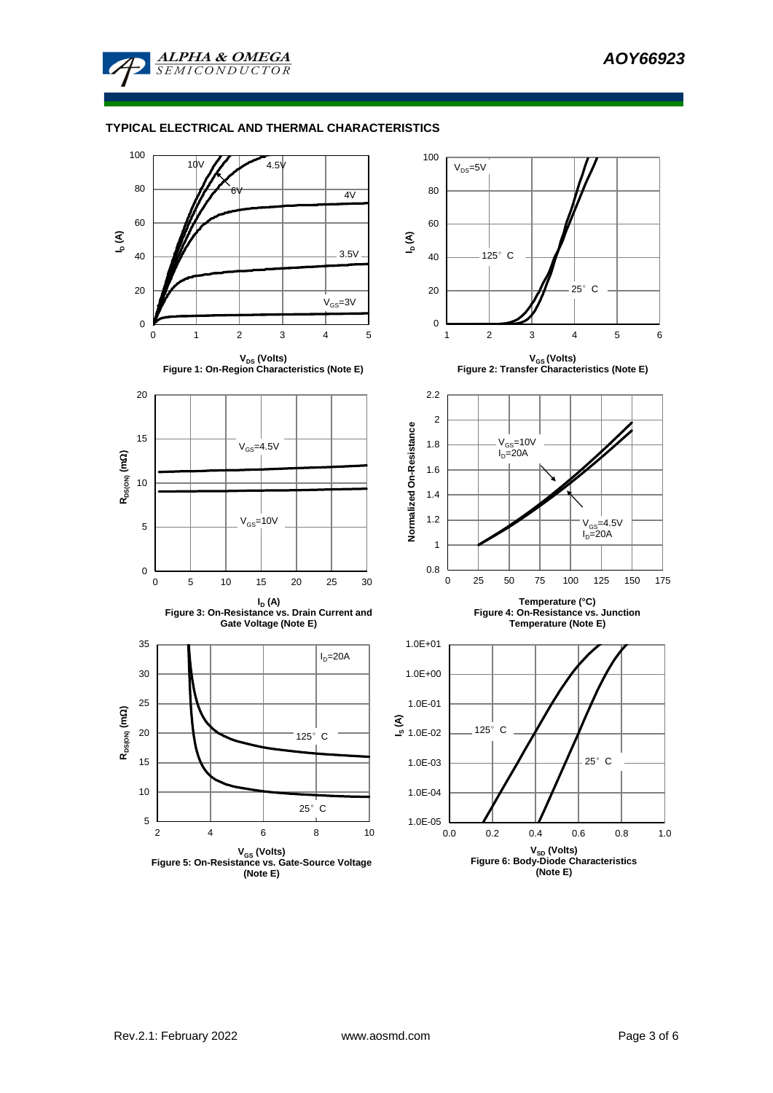

**ALPHA & OMEGA SEMICONDUCTOR** 

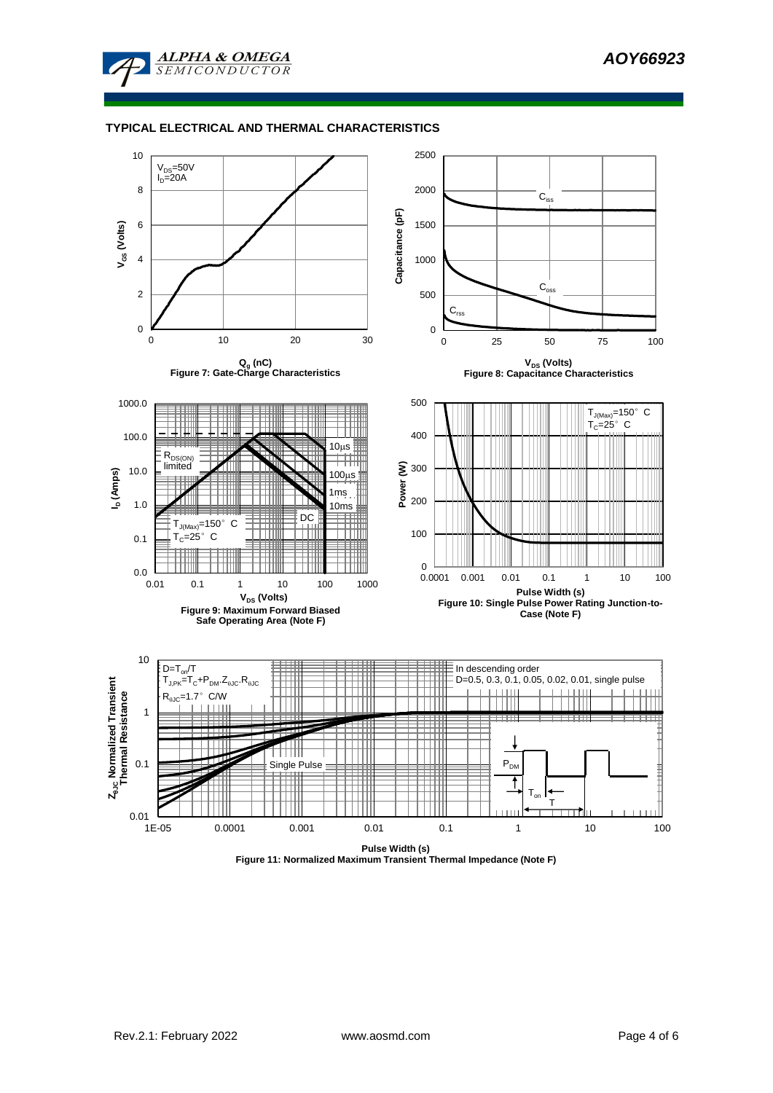

### **TYPICAL ELECTRICAL AND THERMAL CHARACTERISTICS**



**Figure 11: Normalized Maximum Transient Thermal Impedance (Note F)**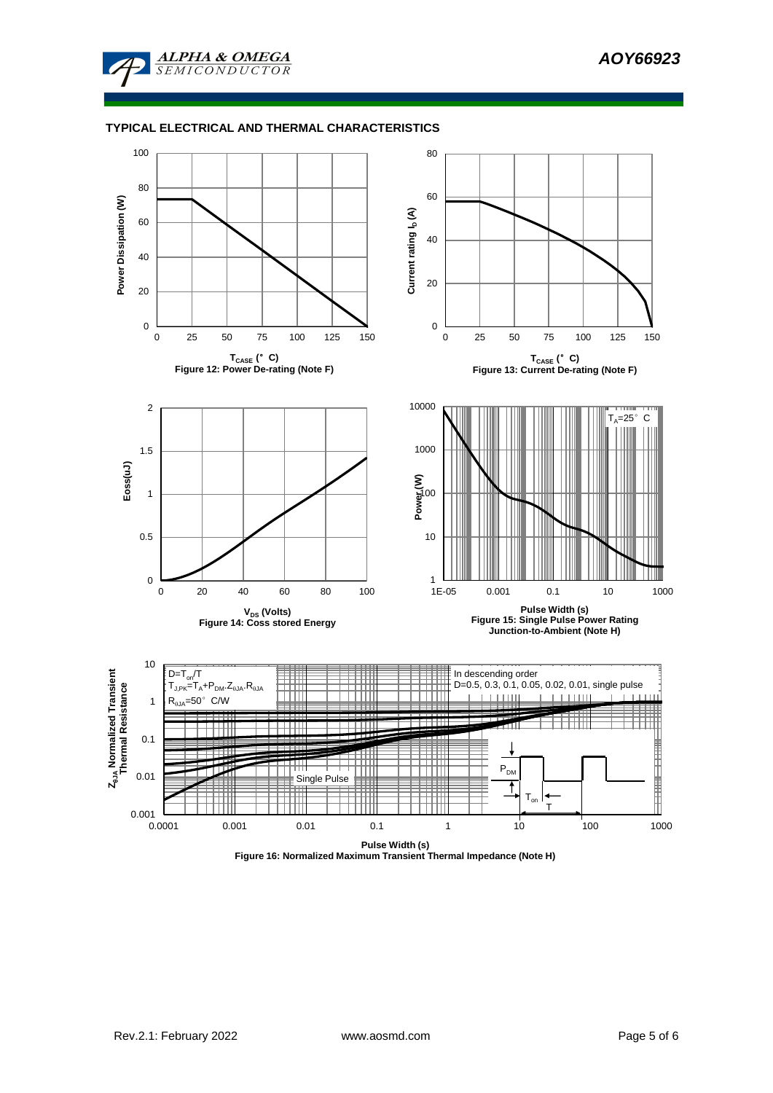

### **TYPICAL ELECTRICAL AND THERMAL CHARACTERISTICS**



**Figure 16: Normalized Maximum Transient Thermal Impedance (Note H)**